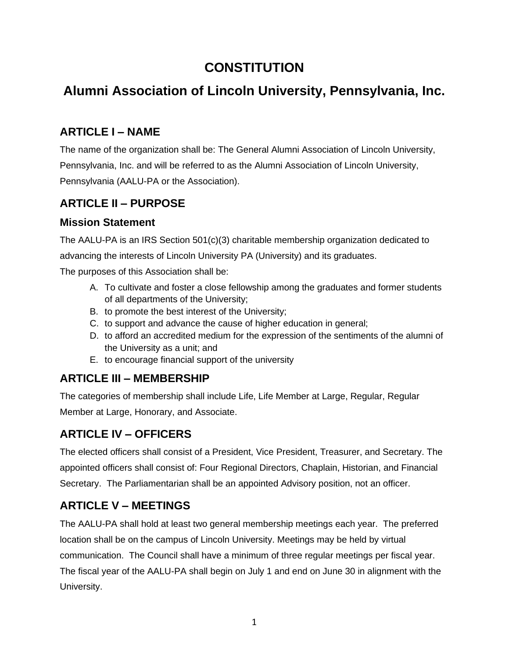# **CONSTITUTION**

# **Alumni Association of Lincoln University, Pennsylvania, Inc.**

### **ARTICLE I – NAME**

The name of the organization shall be: The General Alumni Association of Lincoln University, Pennsylvania, Inc. and will be referred to as the Alumni Association of Lincoln University, Pennsylvania (AALU-PA or the Association).

#### **ARTICLE II – PURPOSE**

#### **Mission Statement**

The AALU-PA is an IRS Section 501(c)(3) charitable membership organization dedicated to advancing the interests of Lincoln University PA (University) and its graduates.

The purposes of this Association shall be:

- A. To cultivate and foster a close fellowship among the graduates and former students of all departments of the University;
- B. to promote the best interest of the University;
- C. to support and advance the cause of higher education in general;
- D. to afford an accredited medium for the expression of the sentiments of the alumni of the University as a unit; and
- E. to encourage financial support of the university

#### **ARTICLE III – MEMBERSHIP**

The categories of membership shall include Life, Life Member at Large, Regular, Regular Member at Large, Honorary, and Associate.

## **ARTICLE IV – OFFICERS**

The elected officers shall consist of a President, Vice President, Treasurer, and Secretary. The appointed officers shall consist of: Four Regional Directors, Chaplain, Historian, and Financial Secretary. The Parliamentarian shall be an appointed Advisory position, not an officer.

#### **ARTICLE V – MEETINGS**

The AALU-PA shall hold at least two general membership meetings each year. The preferred location shall be on the campus of Lincoln University. Meetings may be held by virtual communication. The Council shall have a minimum of three regular meetings per fiscal year. The fiscal year of the AALU-PA shall begin on July 1 and end on June 30 in alignment with the University.